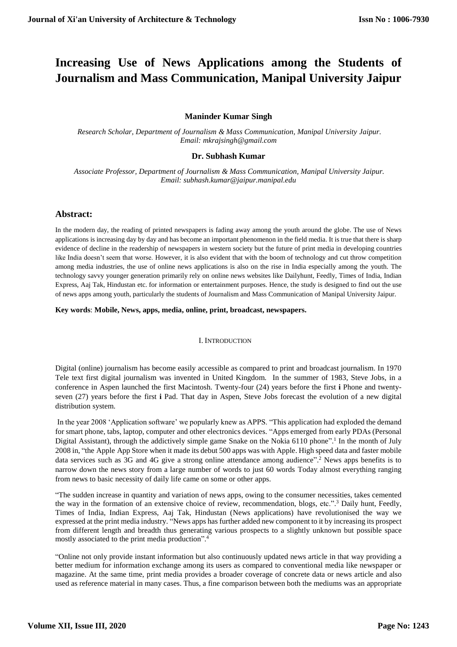# **Increasing Use of News Applications among the Students of Journalism and Mass Communication, Manipal University Jaipur**

# **Maninder Kumar Singh**

*Research Scholar, Department of Journalism & Mass Communication, Manipal University Jaipur. Email: mkrajsingh@gmail.com*

## **Dr. Subhash Kumar**

*Associate Professor, Department of Journalism & Mass Communication, Manipal University Jaipur. Email: subhash.kumar@jaipur.manipal.edu*

## **Abstract:**

In the modern day, the reading of printed newspapers is fading away among the youth around the globe. The use of News applications is increasing day by day and has become an important phenomenon in the field media. It is true that there is sharp evidence of decline in the readership of newspapers in western society but the future of print media in developing countries like India doesn't seem that worse. However, it is also evident that with the boom of technology and cut throw competition among media industries, the use of online news applications is also on the rise in India especially among the youth. The technology savvy younger generation primarily rely on online news websites like Dailyhunt, Feedly, Times of India, Indian Express, Aaj Tak, Hindustan etc. for information or entertainment purposes. Hence, the study is designed to find out the use of news apps among youth, particularly the students of Journalism and Mass Communication of Manipal University Jaipur.

**Key words**: **Mobile, News, apps, media, online, print, broadcast, newspapers.**

#### I. INTRODUCTION

Digital (online) journalism has become easily accessible as compared to print and broadcast journalism. In 1970 Tele text first digital journalism was invented in United Kingdom. In the summer of 1983, Steve Jobs, in a conference in Aspen launched the first Macintosh. Twenty-four (24) years before the first **i** Phone and twentyseven (27) years before the first **i** Pad. That day in Aspen, Steve Jobs forecast the evolution of a new digital distribution system.

In the year 2008 'Application software' we popularly knew as APPS. "This application had exploded the demand for smart phone, tabs, laptop, computer and other electronics devices. "Apps emerged from early PDAs (Personal Digital Assistant), through the addictively simple game Snake on the Nokia 6110 phone".<sup>1</sup> In the month of July 2008 in, "the Apple App Store when it made its debut 500 apps was with Apple. High speed data and faster mobile data services such as 3G and 4G give a strong online attendance among audience". <sup>2</sup> News apps benefits is to narrow down the news story from a large number of words to just 60 words Today almost everything ranging from news to basic necessity of daily life came on some or other apps.

"The sudden increase in quantity and variation of news apps, owing to the consumer necessities, takes cemented the way in the formation of an extensive choice of review, recommendation, blogs, etc.". <sup>3</sup> Daily hunt, Feedly, Times of India, Indian Express, Aaj Tak, Hindustan (News applications) have revolutionised the way we expressed at the print media industry. "News apps has further added new component to it by increasing its prospect from different length and breadth thus generating various prospects to a slightly unknown but possible space mostly associated to the print media production". 4

"Online not only provide instant information but also continuously updated news article in that way providing a better medium for information exchange among its users as compared to conventional media like newspaper or magazine. At the same time, print media provides a broader coverage of concrete data or news article and also used as reference material in many cases. Thus, a fine comparison between both the mediums was an appropriate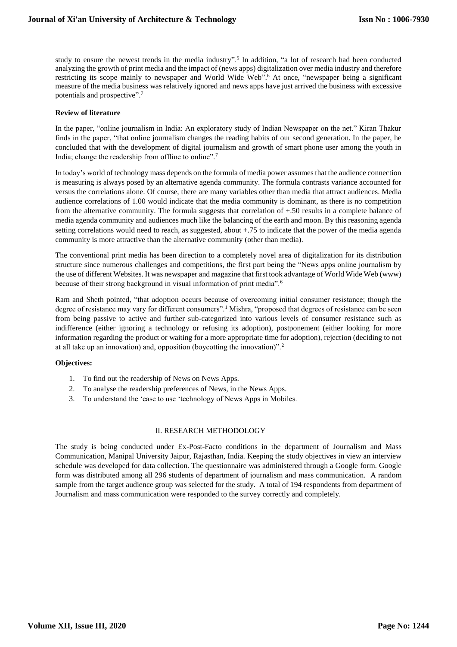study to ensure the newest trends in the media industry".<sup>5</sup> In addition, "a lot of research had been conducted analyzing the growth of print media and the impact of (news apps) digitalization over media industry and therefore restricting its scope mainly to newspaper and World Wide Web". <sup>6</sup> At once, "newspaper being a significant measure of the media business was relatively ignored and news apps have just arrived the business with excessive potentials and prospective".<sup>7</sup>

### **Review of literature**

In the paper, "online journalism in India: An exploratory study of Indian Newspaper on the net." Kiran Thakur finds in the paper, "that online journalism changes the reading habits of our second generation. In the paper, he concluded that with the development of digital journalism and growth of smart phone user among the youth in India; change the readership from offline to online".<sup>7</sup>

In today's world of technology mass depends on the formula of media power assumes that the audience connection is measuring is always posed by an alternative agenda community. The formula contrasts variance accounted for versus the correlations alone. Of course, there are many variables other than media that attract audiences. Media audience correlations of 1.00 would indicate that the media community is dominant, as there is no competition from the alternative community. The formula suggests that correlation of +.50 results in a complete balance of media agenda community and audiences much like the balancing of the earth and moon. By this reasoning agenda setting correlations would need to reach, as suggested, about +.75 to indicate that the power of the media agenda community is more attractive than the alternative community (other than media).

The conventional print media has been direction to a completely novel area of digitalization for its distribution structure since numerous challenges and competitions, the first part being the "News apps online journalism by the use of different Websites. It was newspaper and magazine that first took advantage of World Wide Web (www) because of their strong background in visual information of print media".<sup>6</sup>

Ram and Sheth pointed, "that adoption occurs because of overcoming initial consumer resistance; though the degree of resistance may vary for different consumers".<sup>1</sup> Mishra, "proposed that degrees of resistance can be seen from being passive to active and further sub-categorized into various levels of consumer resistance such as indifference (either ignoring a technology or refusing its adoption), postponement (either looking for more information regarding the product or waiting for a more appropriate time for adoption), rejection (deciding to not at all take up an innovation) and, opposition (boycotting the innovation)".<sup>2</sup>

### **Objectives:**

- 1. To find out the readership of News on News Apps.
- 2. To analyse the readership preferences of News, in the News Apps.
- 3. To understand the 'ease to use 'technology of News Apps in Mobiles.

### II. RESEARCH METHODOLOGY

The study is being conducted under Ex-Post-Facto conditions in the department of Journalism and Mass Communication, Manipal University Jaipur, Rajasthan, India. Keeping the study objectives in view an interview schedule was developed for data collection. The questionnaire was administered through a Google form. Google form was distributed among all 296 students of department of journalism and mass communication. A random sample from the target audience group was selected for the study. A total of 194 respondents from department of Journalism and mass communication were responded to the survey correctly and completely.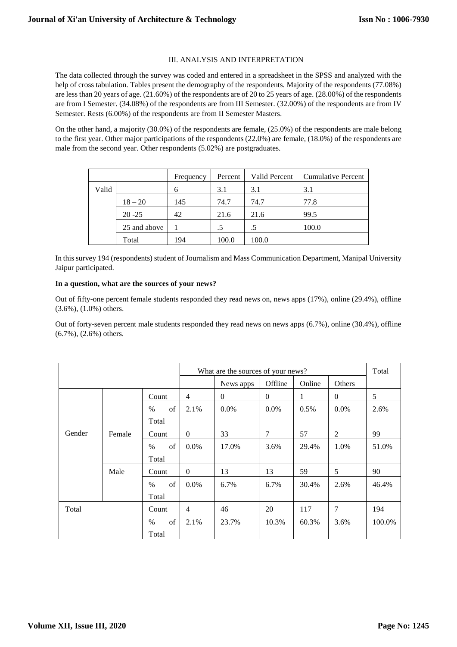### III. ANALYSIS AND INTERPRETATION

The data collected through the survey was coded and entered in a spreadsheet in the SPSS and analyzed with the help of cross tabulation. Tables present the demography of the respondents. Majority of the respondents (77.08%) are less than 20 years of age. (21.60%) of the respondents are of 20 to 25 years of age. (28.00%) of the respondents are from I Semester. (34.08%) of the respondents are from III Semester. (32.00%) of the respondents are from IV Semester. Rests (6.00%) of the respondents are from II Semester Masters.

On the other hand, a majority (30.0%) of the respondents are female, (25.0%) of the respondents are male belong to the first year. Other major participations of the respondents (22.0%) are female, (18.0%) of the respondents are male from the second year. Other respondents (5.02%) are postgraduates.

|       |              | Frequency | Percent | Valid Percent | <b>Cumulative Percent</b> |
|-------|--------------|-----------|---------|---------------|---------------------------|
| Valid |              | 6         | 3.1     | 3.1           | 3.1                       |
|       | $18 - 20$    | 145       | 74.7    | 74.7          | 77.8                      |
|       | $20 - 25$    | 42        | 21.6    | 21.6          | 99.5                      |
|       | 25 and above |           |         | .5            | 100.0                     |
|       | Total        | 194       | 100.0   | 100.0         |                           |

In this survey 194 (respondents) student of Journalism and Mass Communication Department, Manipal University Jaipur participated.

### **In a question, what are the sources of your news?**

Out of fifty-one percent female students responded they read news on, news apps (17%), online (29.4%), offline (3.6%), (1.0%) others.

Out of forty-seven percent male students responded they read news on news apps (6.7%), online (30.4%), offline (6.7%), (2.6%) others.

|        |        |            |                | What are the sources of your news? |                |        |          |        |  |
|--------|--------|------------|----------------|------------------------------------|----------------|--------|----------|--------|--|
|        |        |            |                | News apps                          | Offline        | Online | Others   |        |  |
|        |        | Count      | $\overline{4}$ | $\mathbf{0}$                       | $\overline{0}$ | 1      | $\theta$ | 5      |  |
|        |        | of<br>$\%$ | 2.1%           | $0.0\%$                            | $0.0\%$        | 0.5%   | $0.0\%$  | 2.6%   |  |
|        |        | Total      |                |                                    |                |        |          |        |  |
| Gender | Female | Count      | $\mathbf{0}$   | 33                                 | 7              | 57     | 2        | 99     |  |
|        |        | of<br>$\%$ | $0.0\%$        | 17.0%                              | 3.6%           | 29.4%  | 1.0%     | 51.0%  |  |
|        |        | Total      |                |                                    |                |        |          |        |  |
|        | Male   | Count      | $\mathbf{0}$   | 13                                 | 13             | 59     | 5        | 90     |  |
|        |        | of<br>$\%$ | $0.0\%$        | 6.7%                               | 6.7%           | 30.4%  | 2.6%     | 46.4%  |  |
|        |        | Total      |                |                                    |                |        |          |        |  |
| Total  |        | Count      | $\overline{4}$ | 46                                 | 20             | 117    | 7        | 194    |  |
|        |        | of<br>$\%$ | 2.1%           | 23.7%                              | 10.3%          | 60.3%  | 3.6%     | 100.0% |  |
| Total  |        |            |                |                                    |                |        |          |        |  |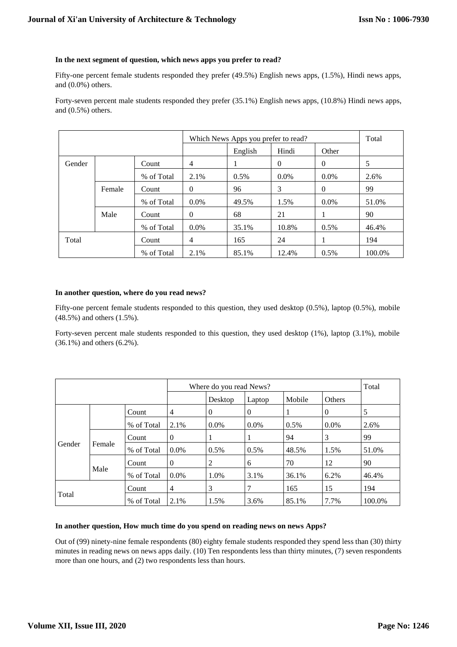### **In the next segment of question, which news apps you prefer to read?**

Fifty-one percent female students responded they prefer (49.5%) English news apps, (1.5%), Hindi news apps, and (0.0%) others.

Forty-seven percent male students responded they prefer (35.1%) English news apps, (10.8%) Hindi news apps, and (0.5%) others.

|        |        |            |          | Which News Apps you prefer to read? |          |          |        |  |  |
|--------|--------|------------|----------|-------------------------------------|----------|----------|--------|--|--|
|        |        |            |          | English                             | Hindi    | Other    |        |  |  |
| Gender |        | Count      | 4        |                                     | $\Omega$ | $\theta$ | 5      |  |  |
|        |        | % of Total | 2.1%     | $0.5\%$                             | $0.0\%$  | $0.0\%$  | 2.6%   |  |  |
|        | Female | Count      | $\theta$ | 96                                  | 3        | $\theta$ | 99     |  |  |
|        |        | % of Total | $0.0\%$  | 49.5%                               | 1.5%     | $0.0\%$  | 51.0%  |  |  |
|        | Male   | Count      | $\Omega$ | 68                                  | 21       |          | 90     |  |  |
|        |        | % of Total | $0.0\%$  | 35.1%                               | 10.8%    | 0.5%     | 46.4%  |  |  |
| Total  |        | Count      | 4        | 165                                 | 24       | 1        | 194    |  |  |
|        |        | % of Total | 2.1%     | 85.1%                               | 12.4%    | 0.5%     | 100.0% |  |  |

### **In another question, where do you read news?**

Fifty-one percent female students responded to this question, they used desktop (0.5%), laptop (0.5%), mobile (48.5%) and others (1.5%).

Forty-seven percent male students responded to this question, they used desktop (1%), laptop (3.1%), mobile (36.1%) and others (6.2%).

|        |        |            |          | Where do you read News? |          |               |          |        |  |  |
|--------|--------|------------|----------|-------------------------|----------|---------------|----------|--------|--|--|
|        |        |            | Desktop  | Laptop                  | Mobile   | <b>Others</b> |          |        |  |  |
|        |        | Count      | 4        | $\theta$                | $\theta$ |               | $\Omega$ | 5      |  |  |
|        |        | % of Total | 2.1%     | $0.0\%$                 | $0.0\%$  | $0.5\%$       | $0.0\%$  | 2.6%   |  |  |
|        |        | Count      | $\theta$ |                         |          | 94            | 3        | 99     |  |  |
| Gender | Female | % of Total | $0.0\%$  | $0.5\%$                 | $0.5\%$  | 48.5%         | 1.5%     | 51.0%  |  |  |
|        |        | Count      | $\theta$ | 2                       | 6        | 70            | 12       | 90     |  |  |
|        | Male   | % of Total | $0.0\%$  | 1.0%                    | 3.1%     | 36.1%         | 6.2%     | 46.4%  |  |  |
| Total  |        | Count      | 4        | 3                       |          | 165           | 15       | 194    |  |  |
|        |        | % of Total | 2.1%     | 1.5%                    | 3.6%     | 85.1%         | 7.7%     | 100.0% |  |  |

## **In another question, How much time do you spend on reading news on news Apps?**

Out of (99) ninety-nine female respondents (80) eighty female students responded they spend less than (30) thirty minutes in reading news on news apps daily. (10) Ten respondents less than thirty minutes, (7) seven respondents more than one hours, and (2) two respondents less than hours.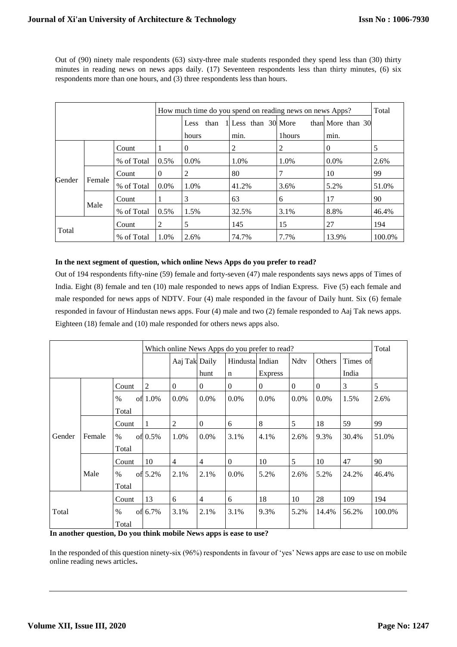Out of (90) ninety male respondents (63) sixty-three male students responded they spend less than (30) thirty minutes in reading news on news apps daily. (17) Seventeen respondents less than thirty minutes, (6) six respondents more than one hours, and (3) three respondents less than hours.

|        |        |            |          | How much time do you spend on reading news on news Apps? |                     |        |                   |        |  |  |  |
|--------|--------|------------|----------|----------------------------------------------------------|---------------------|--------|-------------------|--------|--|--|--|
|        |        |            |          | than<br>Less                                             | 1 Less than 30 More |        | than More than 30 |        |  |  |  |
|        |        |            |          | hours                                                    | min.                | 1hours | min.              |        |  |  |  |
|        |        | Count      |          | 0                                                        | 2                   | 2      | $\Omega$          | 5      |  |  |  |
|        |        | % of Total | 0.5%     | $0.0\%$                                                  | 1.0%                | 1.0%   | $0.0\%$           | 2.6%   |  |  |  |
|        | Female | Count      | $\theta$ | 2                                                        | 80                  |        | 10                | 99     |  |  |  |
| Gender |        | % of Total | $0.0\%$  | 1.0%                                                     | 41.2%               | 3.6%   | 5.2%              | 51.0%  |  |  |  |
|        |        | Count      |          | 3                                                        | 63                  | 6      | 17                | 90     |  |  |  |
|        | Male   | % of Total | 0.5%     | 1.5%                                                     | 32.5%               | 3.1%   | 8.8%              | 46.4%  |  |  |  |
| Total  |        | Count      | 2        | 5                                                        | 145                 | 15     | 27                | 194    |  |  |  |
|        |        | % of Total | 1.0%     | 2.6%                                                     | 74.7%               | 7.7%   | 13.9%             | 100.0% |  |  |  |

## **In the next segment of question, which online News Apps do you prefer to read?**

Out of 194 respondents fifty-nine (59) female and forty-seven (47) male respondents says news apps of Times of India. Eight (8) female and ten (10) male responded to news apps of Indian Express. Five (5) each female and male responded for news apps of NDTV. Four (4) male responded in the favour of Daily hunt. Six (6) female responded in favour of Hindustan news apps. Four (4) male and two (2) female responded to Aaj Tak news apps. Eighteen (18) female and (10) male responded for others news apps also.

|                                 |        |       |                | Which online News Apps do you prefer to read? |                |                 |                |                |              |          |        |  |
|---------------------------------|--------|-------|----------------|-----------------------------------------------|----------------|-----------------|----------------|----------------|--------------|----------|--------|--|
|                                 |        |       |                | Aaj Tak Daily                                 |                | Hindusta Indian |                | <b>Ndty</b>    | Others       | Times of |        |  |
|                                 |        |       |                |                                               | hunt           | $\mathbf n$     | <b>Express</b> |                |              | India    |        |  |
|                                 |        | Count | $\overline{2}$ | $\overline{0}$                                | $\theta$       | $\mathbf{0}$    | $\theta$       | $\overline{0}$ | $\mathbf{0}$ | 3        | 5      |  |
|                                 |        | $\%$  | of 1.0%        | $0.0\%$                                       | $0.0\%$        | $0.0\%$         | $0.0\%$        | $0.0\%$        | $0.0\%$      | 1.5%     | 2.6%   |  |
|                                 |        | Total |                |                                               |                |                 |                |                |              |          |        |  |
|                                 |        | Count | 1              | 2                                             | $\mathbf{0}$   | 6               | 8              | 5              | 18           | 59       | 99     |  |
| Gender                          | Female | $\%$  | of $0.5%$      | 1.0%                                          | $0.0\%$        | 3.1%            | 4.1%           | 2.6%           | 9.3%         | 30.4%    | 51.0%  |  |
|                                 |        | Total |                |                                               |                |                 |                |                |              |          |        |  |
|                                 |        | Count | 10             | $\overline{4}$                                | $\overline{4}$ | $\theta$        | 10             | 5              | 10           | 47       | 90     |  |
|                                 | Male   | $\%$  | of 5.2%        | 2.1%                                          | 2.1%           | $0.0\%$         | 5.2%           | 2.6%           | 5.2%         | 24.2%    | 46.4%  |  |
|                                 |        | Total |                |                                               |                |                 |                |                |              |          |        |  |
| Count<br>Total<br>$\%$<br>Total |        |       | 13             | 6                                             | $\overline{4}$ | 6               | 18             | 10             | 28           | 109      | 194    |  |
|                                 |        |       | of 6.7%        | 3.1%                                          | 2.1%           | 3.1%            | 9.3%           | 5.2%           | 14.4%        | 56.2%    | 100.0% |  |
|                                 |        |       |                |                                               |                |                 |                |                |              |          |        |  |

**In another question, Do you think mobile News apps is ease to use?**

In the responded of this question ninety-six (96%) respondents in favour of 'yes' News apps are ease to use on mobile online reading news articles**.**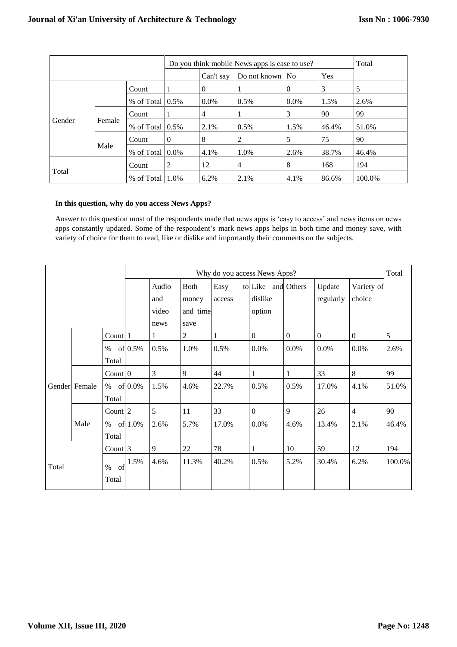|        |        |                       | Do you think mobile News apps is ease to use? |           | Total           |                |            |        |
|--------|--------|-----------------------|-----------------------------------------------|-----------|-----------------|----------------|------------|--------|
|        |        |                       |                                               | Can't say | Do not known No |                | <b>Yes</b> |        |
|        |        | Count                 | 1                                             | $\theta$  |                 | $\overline{0}$ | 3          | 5      |
|        |        | % of Total $(0.5\%$   |                                               | $0.0\%$   | $0.5\%$         | $0.0\%$        | 1.5%       | 2.6%   |
|        |        | Count                 | 1                                             | 4         |                 | 3              | 90         | 99     |
| Gender | Female | $%$ of Total $ 0.5%$  |                                               | 2.1%      | $0.5\%$         | 1.5%           | 46.4%      | 51.0%  |
|        |        | Count                 | $\mathbf{0}$                                  | 8         | 2               | 5              | 75         | 90     |
|        | Male   | $%$ of Total $ 0.0\%$ |                                               | 4.1%      | 1.0%            | 2.6%           | 38.7%      | 46.4%  |
| Total  |        | Count                 | 2                                             | 12        | 4               | 8              | 168        | 194    |
|        |        | % of Total $1.0\%$    |                                               | 6.2%      | 2.1%            | 4.1%           | 86.6%      | 100.0% |

## **In this question, why do you access News Apps?**

Answer to this question most of the respondents made that news apps is 'easy to access' and news items on news apps constantly updated. Some of the respondent's mark news apps helps in both time and money save, with variety of choice for them to read, like or dislike and importantly their comments on the subjects.

|       |               |                     |         |               |                  |        |                    |              | Why do you access News Apps? |                  |        |  |  |  |  |  |  |  |
|-------|---------------|---------------------|---------|---------------|------------------|--------|--------------------|--------------|------------------------------|------------------|--------|--|--|--|--|--|--|--|
|       |               |                     |         | Audio         | Both             | Easy   | to Like and Others |              | Update                       | Variety of       |        |  |  |  |  |  |  |  |
|       |               |                     |         | and           | money            | access | dislike            |              | regularly                    | choice           |        |  |  |  |  |  |  |  |
|       |               |                     |         | video<br>news | and time<br>save |        | option             |              |                              |                  |        |  |  |  |  |  |  |  |
|       |               | Count 1             |         |               | $\overline{c}$   | 1      | $\boldsymbol{0}$   | $\mathbf{0}$ | $\boldsymbol{0}$             | $\boldsymbol{0}$ | 5      |  |  |  |  |  |  |  |
|       |               | $\%$                | of 0.5% | 0.5%          | 1.0%             | 0.5%   | 0.0%               | $0.0\%$      | 0.0%                         | 0.0%             | 2.6%   |  |  |  |  |  |  |  |
|       |               | Total               |         |               |                  |        |                    |              |                              |                  |        |  |  |  |  |  |  |  |
|       |               | Count 0             |         | 3             | 9                | 44     | 1                  | 1            | 33                           | 8                | 99     |  |  |  |  |  |  |  |
|       | Gender Female | $\%$                | of 0.0% | 1.5%          | 4.6%             | 22.7%  | 0.5%               | 0.5%         | 17.0%                        | 4.1%             | 51.0%  |  |  |  |  |  |  |  |
|       |               | Total               |         |               |                  |        |                    |              |                              |                  |        |  |  |  |  |  |  |  |
|       |               | Count 2             |         | 5             | 11               | 33     | $\boldsymbol{0}$   | 9            | 26                           | $\overline{4}$   | 90     |  |  |  |  |  |  |  |
|       | Male          | $\%$                | of 1.0% | 2.6%          | 5.7%             | 17.0%  | $0.0\%$            | 4.6%         | 13.4%                        | 2.1%             | 46.4%  |  |  |  |  |  |  |  |
|       |               | Total               |         |               |                  |        |                    |              |                              |                  |        |  |  |  |  |  |  |  |
| Total |               | Count 3             |         | 9             | 22               | 78     | 1                  | 10           | 59                           | 12               | 194    |  |  |  |  |  |  |  |
|       |               | $\%$<br>of<br>Total | 1.5%    | 4.6%          | 11.3%            | 40.2%  | 0.5%               | 5.2%         | 30.4%                        | 6.2%             | 100.0% |  |  |  |  |  |  |  |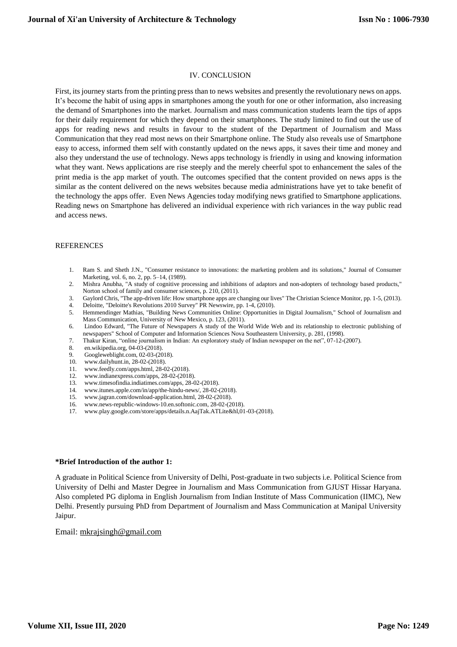#### IV. CONCLUSION

First, its journey starts from the printing press than to news websites and presently the revolutionary news on apps. It's become the habit of using apps in smartphones among the youth for one or other information, also increasing the demand of Smartphones into the market. Journalism and mass communication students learn the tips of apps for their daily requirement for which they depend on their smartphones. The study limited to find out the use of apps for reading news and results in favour to the student of the Department of Journalism and Mass Communication that they read most news on their Smartphone online. The Study also reveals use of Smartphone easy to access, informed them self with constantly updated on the news apps, it saves their time and money and also they understand the use of technology. News apps technology is friendly in using and knowing information what they want. News applications are rise steeply and the merely cheerful spot to enhancement the sales of the print media is the app market of youth. The outcomes specified that the content provided on news apps is the similar as the content delivered on the news websites because media administrations have yet to take benefit of the technology the apps offer. Even News Agencies today modifying news gratified to Smartphone applications. Reading news on Smartphone has delivered an individual experience with rich variances in the way public read and access news.

#### **REFERENCES**

- 1. Ram S. and Sheth J.N., "Consumer resistance to innovations: the marketing problem and its solutions," Journal of Consumer Marketing, vol. 6, no. 2, pp. 5–14, (1989).
- 2. Mishra Anubha, "A study of cognitive processing and inhibitions of adaptors and non-adopters of technology based products," Norton school of family and consumer sciences, p. 210, (2011).
- 3. Gaylord Chris, "The app-driven life: How smartphone apps are changing our lives" The Christian Science Monitor, pp. 1-5, (2013). Deloitte, "Deloitte's Revolutions 2010 Survey" PR Newswire, pp. 1-4, (2010).
- 5. Hemmendinger Mathias, "Building News Communities Online: Opportunities in Digital Journalism," School of Journalism and Mass Communication, University of New Mexico, p. 123, (2011).
- 6. Lindoo Edward, "The Future of Newspapers A study of the World Wide Web and its relationship to electronic publishing of newspapers" School of Computer and Information Sciences Nova Southeastern University, p. 281, (1998).
- 7. Thakur Kiran, "online journalism in Indian: An exploratory study of Indian newspaper on the net", 07-12-(2007).
- 8. en.wikipedia.org, 04-03-(2018).
- 9. Googleweblight.com, 02-03-(2018).
- 10. www.dailyhunt.in, 28-02-(2018).
- 11. www.feedly.com/apps.html, 28-02-(2018).
- 12. www.indianexpress.com/apps, 28-02-(2018).
- 13. www.timesofindia.indiatimes.com/apps, 28-02-(2018).
- 14. www.itunes.apple.com/in/app/the-hindu-news/, 28-02-(2018).
- 15. www.jagran.com/download-application.html, 28-02-(2018).
- 16. www.news-republic-windows-10.en.softonic.com, 28-02-(2018).
- 17. www.play.google.com/store/apps/details.n.AajTak.ATLite&hl,01-03-(2018).

#### **\*Brief Introduction of the author 1:**

A graduate in Political Science from University of Delhi, Post-graduate in two subjects i.e. Political Science from University of Delhi and Master Degree in Journalism and Mass Communication from GJUST Hissar Haryana. Also completed PG diploma in English Journalism from Indian Institute of Mass Communication (IIMC), New Delhi. Presently pursuing PhD from Department of Journalism and Mass Communication at Manipal University Jaipur.

#### Email: [mkrajsingh@gmail.com](mailto:mkrajsingh@gmail.com)